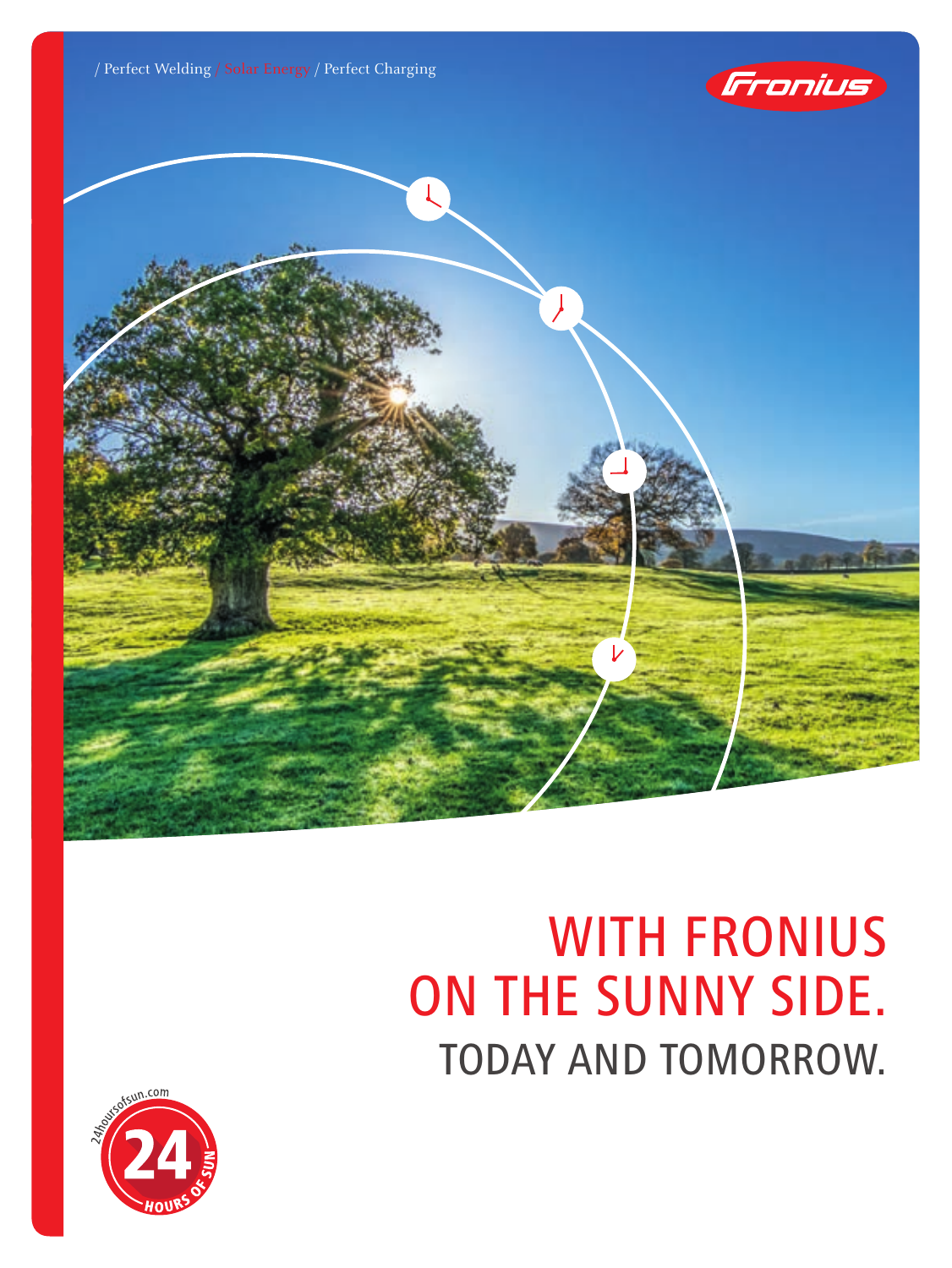





# WITH FRONIUS ON THE SUNNY SIDE. TODAY AND TOMORROW.

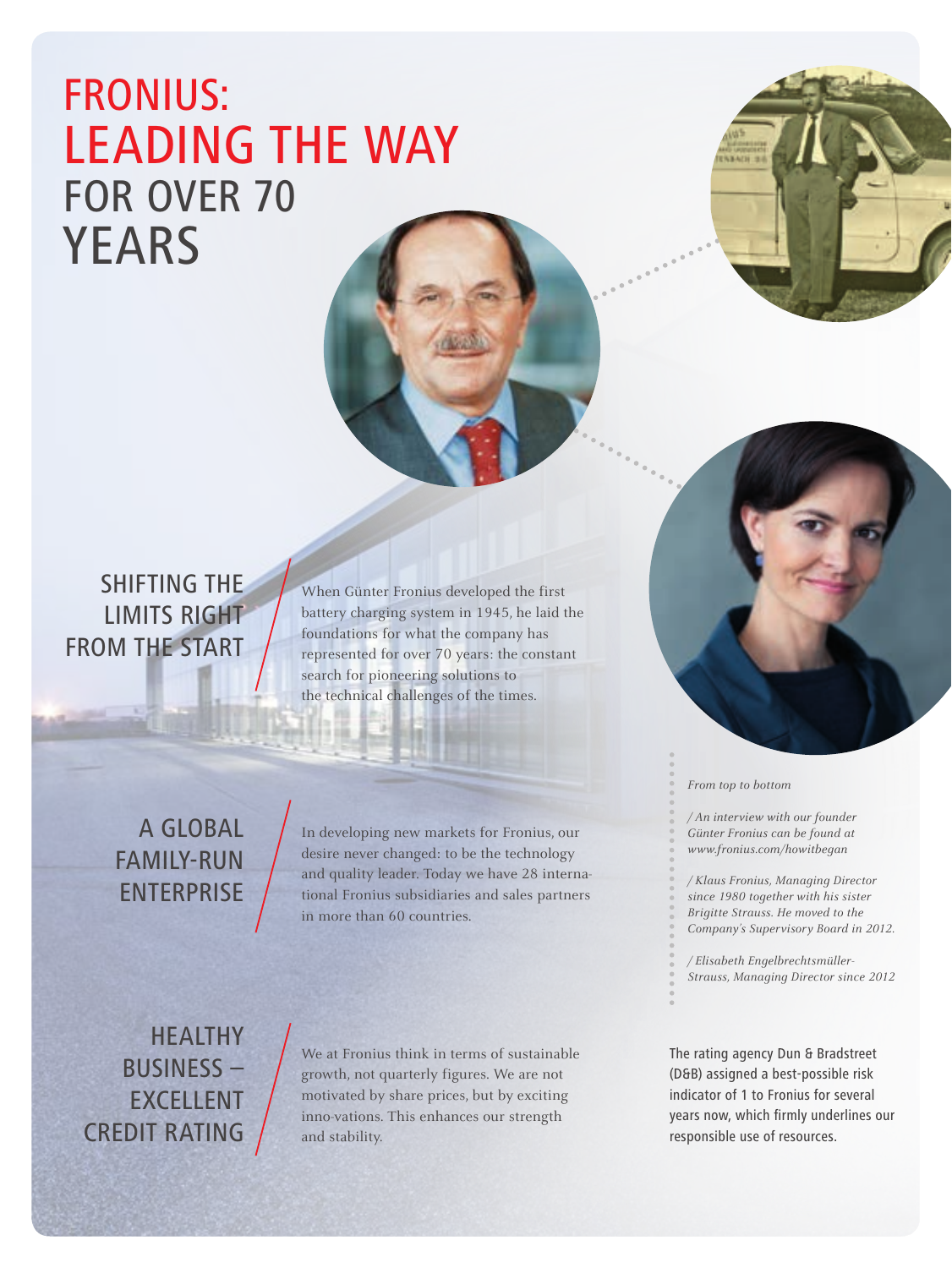### FRONIUS: LEADING THE WAY FOR OVER 70 YEARS

SHIFTING THE LIMITS RIGHT FROM THE START

When Günter Fronius developed the first battery charging system in 1945, he laid the foundations for what the company has represented for over 70 years: the constant search for pioneering solutions to the technical challenges of the times.

A GLOBAL FAMILY-RUN ENTERPRISE

In developing new markets for Fronius, our desire never changed: to be the technology and quality leader. Today we have 28 international Fronius subsidiaries and sales partners in more than 60 countries.

HEALTHY BUSINESS – EXCELLENT CREDIT RATING

We at Fronius think in terms of sustainable growth, not quarterly figures. We are not motivated by share prices, but by exciting inno-vations. This enhances our strength and stability.



*From top to bottom*

*/ An interview with our founder Günter Fronius can be found at www.fronius.com/howitbegan*

*/ Klaus Fronius, Managing Director since 1980 together with his sister Brigitte Strauss. He moved to the Company's Supervisory Board in 2012.*

*/ Elisabeth Engelbrechtsmüller-Strauss, Managing Director since 2012*

The rating agency Dun & Bradstreet (D&B) assigned a best-possible risk indicator of 1 to Fronius for several years now, which firmly underlines our responsible use of resources.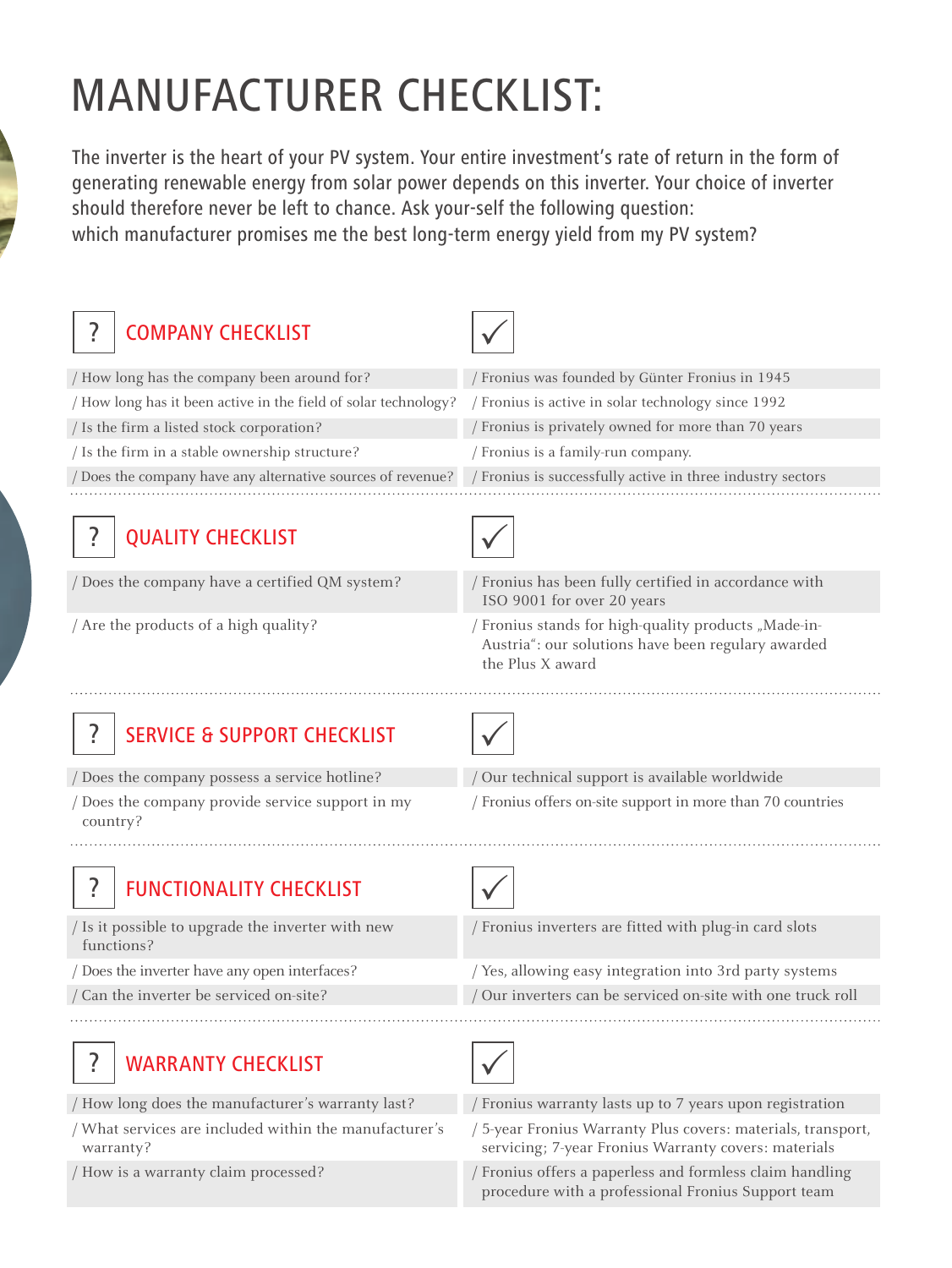# MANUFACTURER CHECKLIST:

The inverter is the heart of your PV system. Your entire investment's rate of return in the form of generating renewable energy from solar power depends on this inverter. Your choice of inverter should therefore never be left to chance. Ask your-self the following question: which manufacturer promises me the best long-term energy yield from my PV system?

| <b>COMPANY CHECKLIST</b>                                          |                                                                                                                                |
|-------------------------------------------------------------------|--------------------------------------------------------------------------------------------------------------------------------|
| How long has the company been around for?                         | / Fronius was founded by Günter Fronius in 1945                                                                                |
| / How long has it been active in the field of solar technology?   | / Fronius is active in solar technology since 1992                                                                             |
| / Is the firm a listed stock corporation?                         | Fronius is privately owned for more than 70 years                                                                              |
| / Is the firm in a stable ownership structure?                    | / Fronius is a family-run company.                                                                                             |
| Does the company have any alternative sources of revenue?         | / Fronius is successfully active in three industry sectors                                                                     |
| <b>QUALITY CHECKLIST</b>                                          |                                                                                                                                |
| Does the company have a certified QM system?                      | / Fronius has been fully certified in accordance with<br>ISO 9001 for over 20 years                                            |
| / Are the products of a high quality?                             | / Fronius stands for high-quality products "Made-in-<br>Austria": our solutions have been regulary awarded<br>the Plus X award |
| <b>SERVICE &amp; SUPPORT CHECKLIST</b>                            |                                                                                                                                |
| Does the company possess a service hotline?                       | Our technical support is available worldwide                                                                                   |
| Does the company provide service support in my<br>country?        | / Fronius offers on-site support in more than 70 countries                                                                     |
| <b>FUNCTIONALITY CHECKLIST</b>                                    |                                                                                                                                |
| / Is it possible to upgrade the inverter with new<br>functions?   | / Fronius inverters are fitted with plug-in card slots                                                                         |
| Does the inverter have any open interfaces?                       | / Yes, allowing easy integration into 3rd party systems                                                                        |
| / Can the inverter be serviced on-site?                           | Our inverters can be serviced on-site with one truck roll                                                                      |
| ?<br><b>WARRANTY CHECKLIST</b>                                    |                                                                                                                                |
| 'How long does the manufacturer's warranty last?                  | Fronius warranty lasts up to 7 years upon registration                                                                         |
| What services are included within the manufacturer's<br>warranty? | / 5-year Fronius Warranty Plus covers: materials, transport,<br>servicing; 7-year Fronius Warranty covers: materials           |
| / How is a warranty claim processed?                              | / Fronius offers a paperless and formless claim handling<br>procedure with a professional Fronius Support team                 |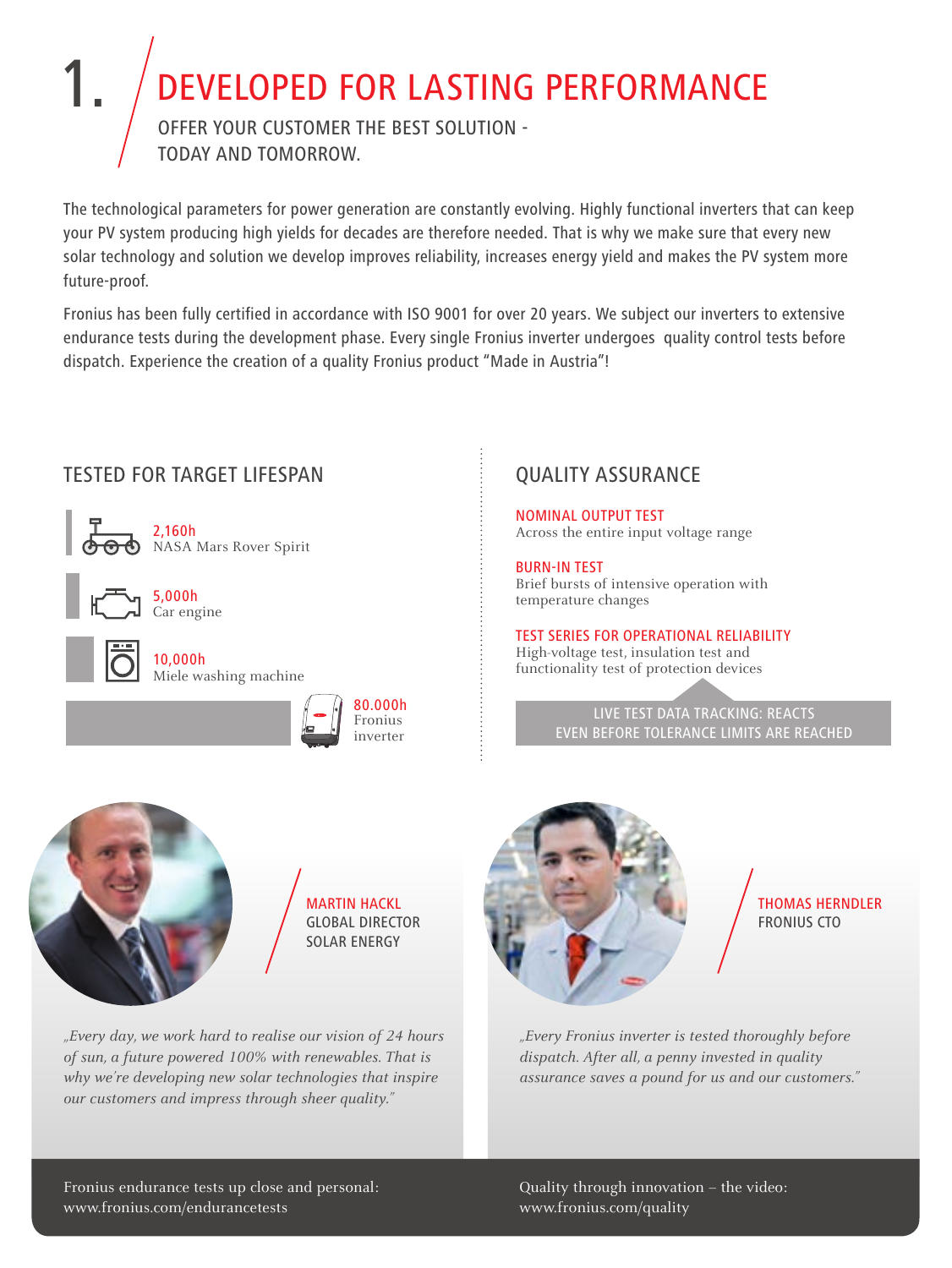# DEVELOPED FOR LASTING PERFORMANCE

Offer your customer the best solution today and tomorrow.

The technological parameters for power generation are constantly evolving. Highly functional inverters that can keep your PV system producing high yields for decades are therefore needed. That is why we make sure that every new solar technology and solution we develop improves reliability, increases energy yield and makes the PV system more future-proof.

Fronius has been fully certified in accordance with ISO 9001 for over 20 years. We subject our inverters to extensive endurance tests during the development phase. Every single Fronius inverter undergoes quality control tests before dispatch. Experience the creation of a quality Fronius product "Made in Austria"!



#### QUALITY ASSURANCE

NOMINAL OUTPUT TEST Across the entire input voltage range

BURN-IN TEST Brief bursts of intensive operation with temperature changes

TEST SERIES FOR OPERATIONAL RELIABILITY High-voltage test, insulation test and functionality test of protection devices

#### LIVE TEST DATA TRACKING: REACTS EVEN BEFORE TOLERANCE LIMITS ARE REACHED



1.

**MARTIN HACKL** Global Director Solar Energy

*"Every day, we work hard to realise our vision of 24 hours of sun, a future powered 100% with renewables. That is why we're developing new solar technologies that inspire our customers and impress through sheer quality."*



Thomas Herndler Fronius CTO

*"Every Fronius inverter is tested thoroughly before dispatch. After all, a penny invested in quality assurance saves a pound for us and our customers."*

Fronius endurance tests up close and personal: www.fronius.com/endurancetests

Quality through innovation – the video: www.fronius.com/quality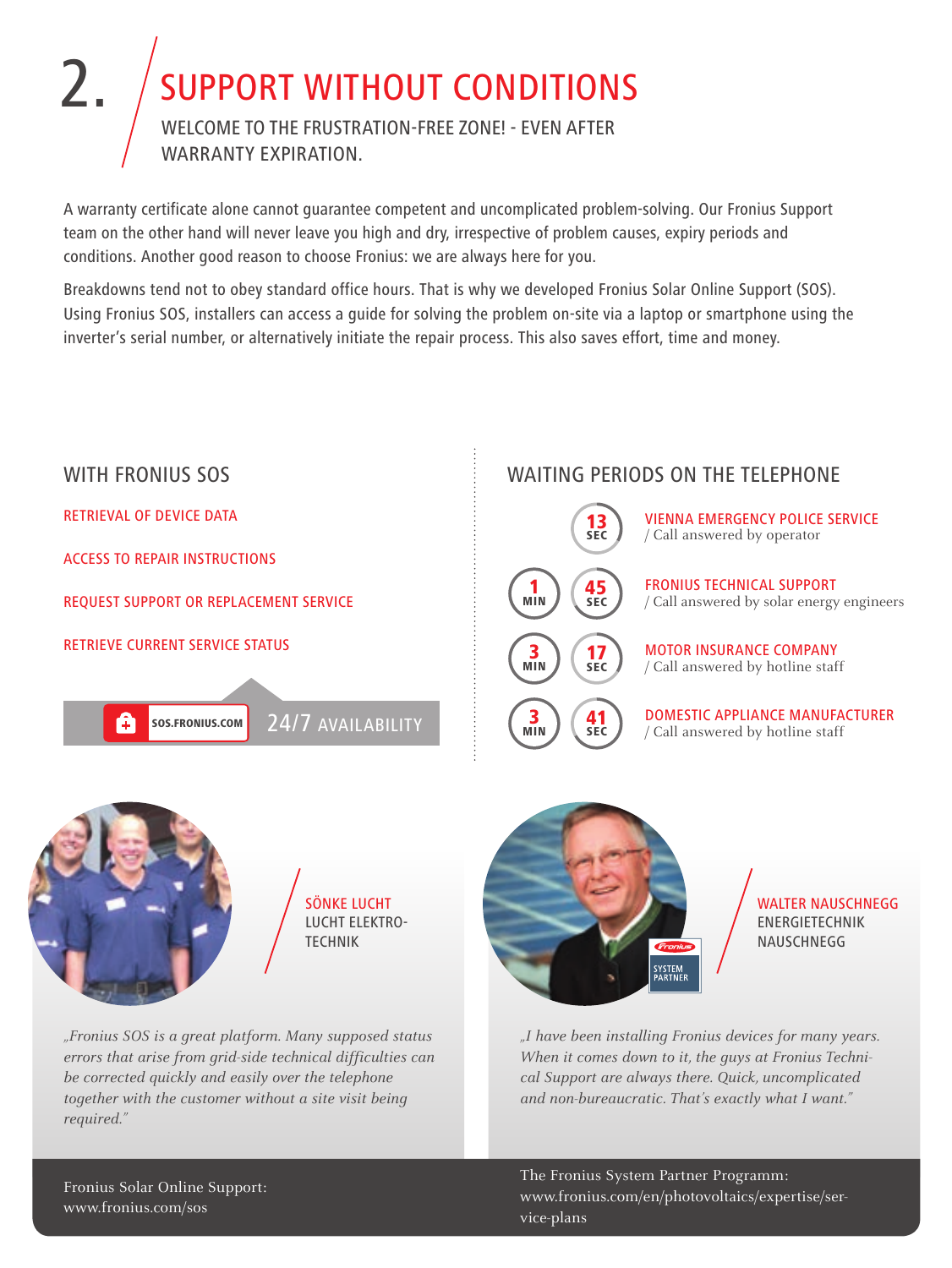### 2. SUPPORT WITHOUT CONDITIONS Welcome to the frustration-free zone! - even after warranty expiration.

A warranty certificate alone cannot guarantee competent and uncomplicated problem-solving. Our Fronius Support team on the other hand will never leave you high and dry, irrespective of problem causes, expiry periods and conditions. Another good reason to choose Fronius: we are always here for you.

Breakdowns tend not to obey standard office hours. That is why we developed Fronius Solar Online Support (SOS). Using Fronius SOS, installers can access a guide for solving the problem on-site via a laptop or smartphone using the inverter's serial number, or alternatively initiate the repair process. This also saves effort, time and money.



The Fronius System Partner Programm: www.fronius.com/en/photovoltaics/expertise/service-plans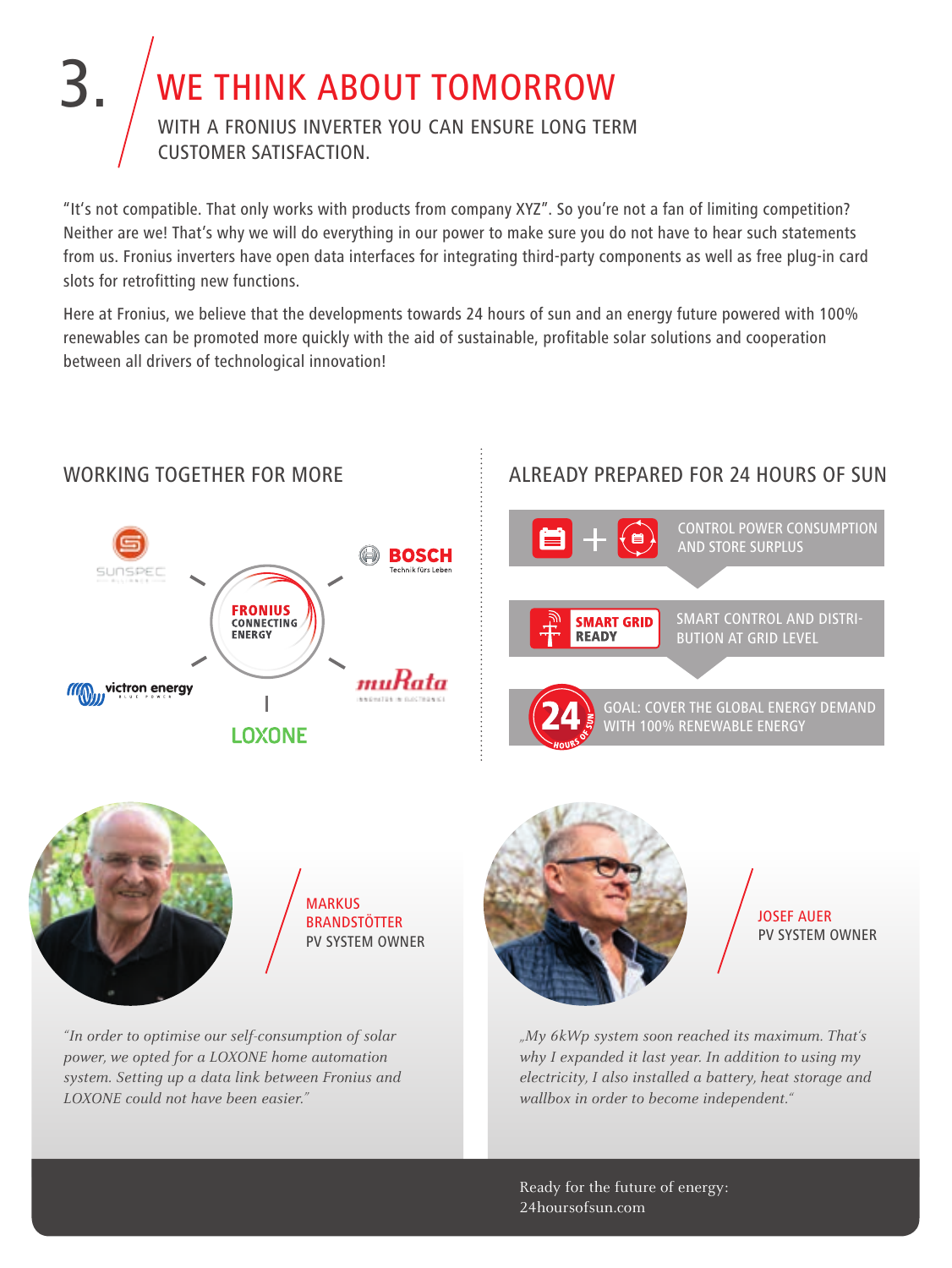#### WE THINK ABOUT TOMORROW 3. With a Fronius inverter you can ensure long term customer satisfaction.

"It's not compatible. That only works with products from company XYZ". So you're not a fan of limiting competition? Neither are we! That's why we will do everything in our power to make sure you do not have to hear such statements from us. Fronius inverters have open data interfaces for integrating third-party components as well as free plug-in card slots for retrofitting new functions.

Here at Fronius, we believe that the developments towards 24 hours of sun and an energy future powered with 100% renewables can be promoted more quickly with the aid of sustainable, profitable solar solutions and cooperation between all drivers of technological innovation!



#### WORKING TOGETHER FOR MORE

#### ALREADY PREPARED FOR 24 hours of sun





*"In order to optimise our self-consumption of solar power, we opted for a LOXONE home automation system. Setting up a data link between Fronius and LOXONE could not have been easier."*



Josef Auer PV system owner

*"My 6kWp system soon reached its maximum. That's why I expanded it last year. In addition to using my electricity, I also installed a battery, heat storage and wallbox in order to become independent."* 

Ready for the future of energy: 24hoursofsun.com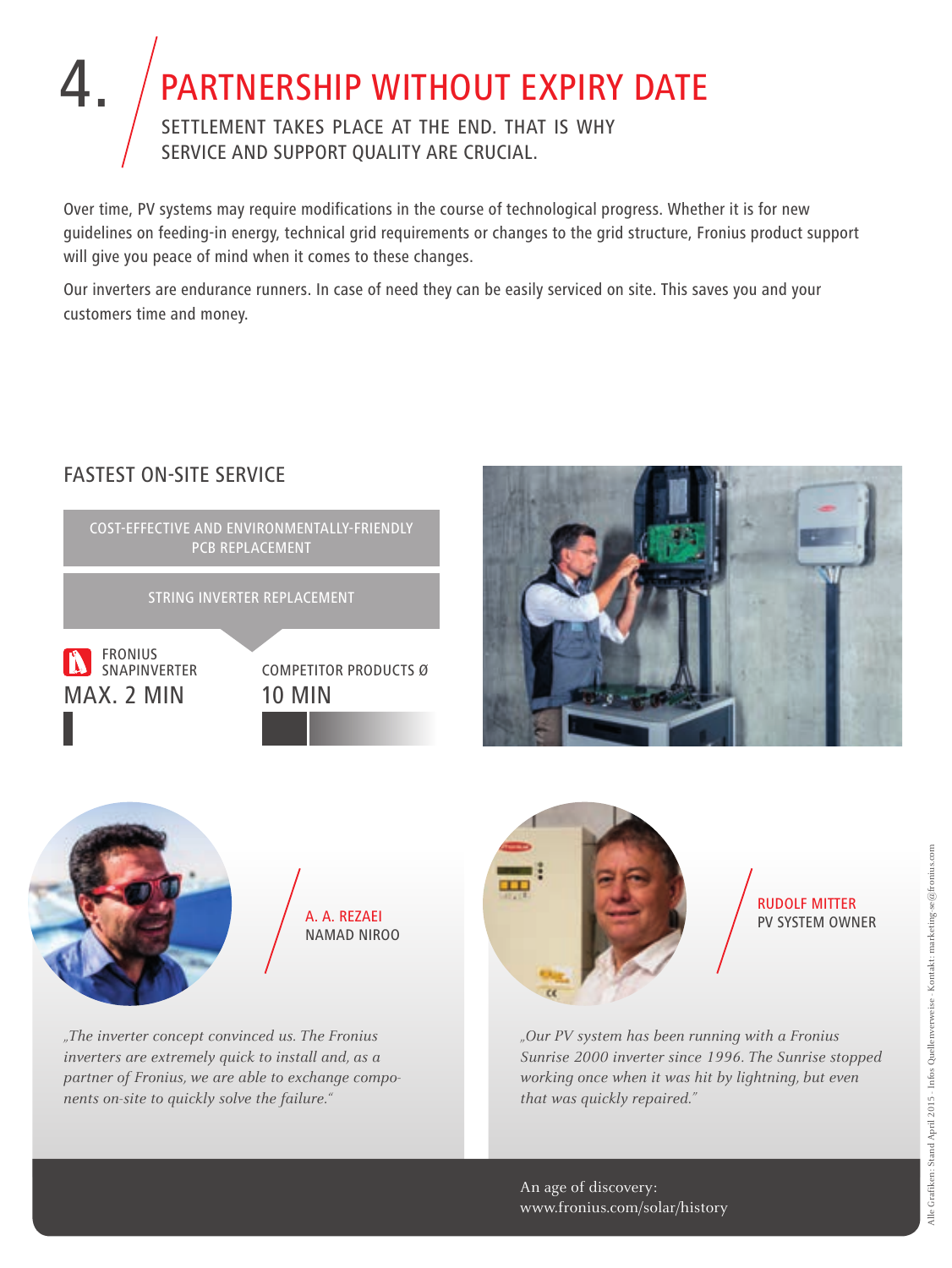# 4. PARTNERSHIP WITHOUT EXPIRY DAT

Settlement takes place at the end. That is why service and support quality are crucial.

Over time, PV systems may require modifications in the course of technological progress. Whether it is for new guidelines on feeding-in energy, technical grid requirements or changes to the grid structure, Fronius product support will give you peace of mind when it comes to these changes.

Our inverters are endurance runners. In case of need they can be easily serviced on site. This saves you and your customers time and money.



FASTEST ON-SITE SERVICE





*"The inverter concept convinced us. The Fronius inverters are extremely quick to install and, as a partner of Fronius, we are able to exchange components on-site to quickly solve the failure."*



Rudolf Mitter Pv system owner

*"Our PV system has been running with a Fronius Sunrise 2000 inverter since 1996. The Sunrise stopped working once when it was hit by lightning, but even that was quickly repaired."*

An age of discovery: www.fronius.com/solar/history